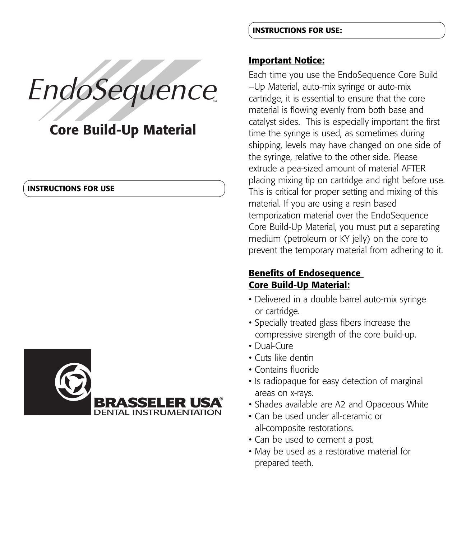# EndoSequence

# **Core Build-Up Material**

#### **INSTRUCTIONS FOR USE**



**INSTRUCTIONS FOR USE:**

#### **Important Notice:**

Each time you use the EndoSequence Core Build –Up Material, auto-mix syringe or auto-mix cartridge, it is essential to ensure that the core material is flowing evenly from both base and catalyst sides. This is especially important the first time the syringe is used, as sometimes during shipping, levels may have changed on one side of the syringe, relative to the other side. Please extrude a pea-sized amount of material AFTER placing mixing tip on cartridge and right before use. This is critical for proper setting and mixing of this material. If you are using a resin based temporization material over the EndoSequence Core Build-Up Material, you must put a separating medium (petroleum or KY jelly) on the core to prevent the temporary material from adhering to it.

# **Benefits of Endosequence Core Build-Up Material:**

- Delivered in a double barrel auto-mix syringe or cartridge.
- Specially treated glass fibers increase the compressive strength of the core build-up.
- Dual-Cure
- Cuts like dentin
- Contains fluoride
- Is radiopaque for easy detection of marginal areas on x-rays.
- Shades available are A2 and Opaceous White
- Can be used under all-ceramic or all-composite restorations.
- Can be used to cement a post.
- May be used as a restorative material for prepared teeth.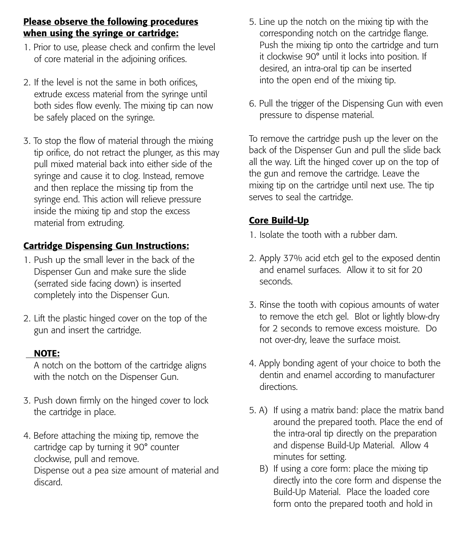# **Please observe the following procedures when using the syringe or cartridge:**

- 1. Prior to use, please check and confirm the level of core material in the adjoining orifices.
- 2. If the level is not the same in both orifices, extrude excess material from the syringe until both sides flow evenly. The mixing tip can now be safely placed on the syringe.
- 3. To stop the flow of material through the mixing tip orifice, do not retract the plunger, as this may pull mixed material back into either side of the syringe and cause it to clog. Instead, remove and then replace the missing tip from the syringe end. This action will relieve pressure inside the mixing tip and stop the excess material from extruding.

# **Cartridge Dispensing Gun Instructions:**

- 1. Push up the small lever in the back of the Dispenser Gun and make sure the slide (serrated side facing down) is inserted completely into the Dispenser Gun.
- 2. Lift the plastic hinged cover on the top of the gun and insert the cartridge.

## **NOTE:**

A notch on the bottom of the cartridge aligns with the notch on the Dispenser Gun.

- 3. Push down firmly on the hinged cover to lock the cartridge in place.
- 4. Before attaching the mixing tip, remove the cartridge cap by turning it 90° counter clockwise, pull and remove. Dispense out a pea size amount of material and discard.
- 5. Line up the notch on the mixing tip with the corresponding notch on the cartridge flange. Push the mixing tip onto the cartridge and turn it clockwise 90° until it locks into position. If desired, an intra-oral tip can be inserted into the open end of the mixing tip.
- 6. Pull the trigger of the Dispensing Gun with even pressure to dispense material.

To remove the cartridge push up the lever on the back of the Dispenser Gun and pull the slide back all the way. Lift the hinged cover up on the top of the gun and remove the cartridge. Leave the mixing tip on the cartridge until next use. The tip serves to seal the cartridge.

# **Core Build-Up**

- 1. Isolate the tooth with a rubber dam.
- 2. Apply 37% acid etch gel to the exposed dentin and enamel surfaces. Allow it to sit for 20 seconds.
- 3. Rinse the tooth with copious amounts of water to remove the etch gel. Blot or lightly blow-dry for 2 seconds to remove excess moisture. Do not over-dry, leave the surface moist.
- 4. Apply bonding agent of your choice to both the dentin and enamel according to manufacturer directions.
- 5. A) If using a matrix band: place the matrix band around the prepared tooth. Place the end of the intra-oral tip directly on the preparation and dispense Build-Up Material. Allow 4 minutes for setting.
	- B) If using a core form: place the mixing tip directly into the core form and dispense the Build-Up Material. Place the loaded core form onto the prepared tooth and hold in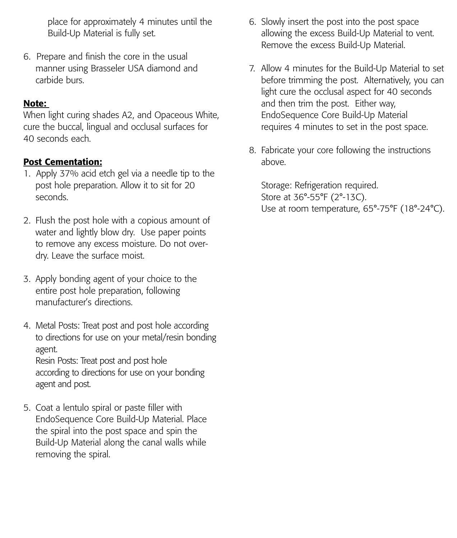place for approximately 4 minutes until the Build-Up Material is fully set.

6. Prepare and finish the core in the usual manner using Brasseler USA diamond and carbide burs.

## **Note:**

When light curing shades A2, and Opaceous White, cure the buccal, lingual and occlusal surfaces for 40 seconds each.

## **Post Cementation:**

- 1. Apply 37% acid etch gel via a needle tip to the post hole preparation. Allow it to sit for 20 seconds.
- 2. Flush the post hole with a copious amount of water and lightly blow dry. Use paper points to remove any excess moisture. Do not overdry. Leave the surface moist.
- 3. Apply bonding agent of your choice to the entire post hole preparation, following manufacturer's directions.
- 4. Metal Posts: Treat post and post hole according to directions for use on your metal/resin bonding agent. Resin Posts: Treat post and post hole according to directions for use on your bonding agent and post.
- 5. Coat a lentulo spiral or paste filler with EndoSequence Core Build-Up Material. Place the spiral into the post space and spin the Build-Up Material along the canal walls while removing the spiral.
- 6. Slowly insert the post into the post space allowing the excess Build-Up Material to vent. Remove the excess Build-Up Material.
- 7. Allow 4 minutes for the Build-Up Material to set before trimming the post. Alternatively, you can light cure the occlusal aspect for 40 seconds and then trim the post. Either way, EndoSequence Core Build-Up Material requires 4 minutes to set in the post space.
- 8. Fabricate your core following the instructions above.

Storage: Refrigeration required. Store at 36°-55°F (2°-13C). Use at room temperature, 65°-75°F (18°-24°C).